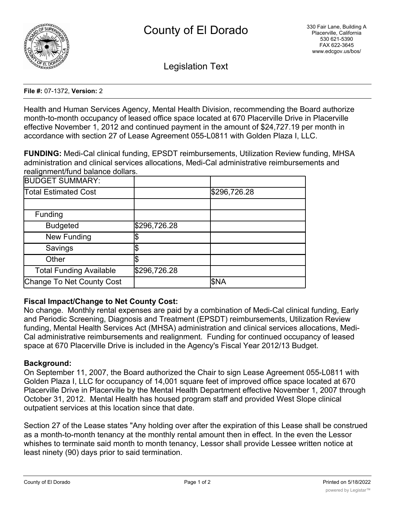

Legislation Text

#### **File #:** 07-1372, **Version:** 2

Health and Human Services Agency, Mental Health Division, recommending the Board authorize month-to-month occupancy of leased office space located at 670 Placerville Drive in Placerville effective November 1, 2012 and continued payment in the amount of \$24,727.19 per month in accordance with section 27 of Lease Agreement 055-L0811 with Golden Plaza I, LLC.

**FUNDING:** Medi-Cal clinical funding, EPSDT reimbursements, Utilization Review funding, MHSA administration and clinical services allocations, Medi-Cal administrative reimbursements and realignment/fund balance dollars.

| <b>BUDGET SUMMARY:</b>         |              |              |
|--------------------------------|--------------|--------------|
| Total Estimated Cost           |              | \$296,726.28 |
|                                |              |              |
| Funding                        |              |              |
| <b>Budgeted</b>                | \$296,726.28 |              |
| <b>New Funding</b>             |              |              |
| Savings                        |              |              |
| Other                          |              |              |
| <b>Total Funding Available</b> | \$296,726.28 |              |
| Change To Net County Cost      |              | <b>SNA</b>   |

# **Fiscal Impact/Change to Net County Cost:**

No change. Monthly rental expenses are paid by a combination of Medi-Cal clinical funding, Early and Periodic Screening, Diagnosis and Treatment (EPSDT) reimbursements, Utilization Review funding, Mental Health Services Act (MHSA) administration and clinical services allocations, Medi-Cal administrative reimbursements and realignment. Funding for continued occupancy of leased space at 670 Placerville Drive is included in the Agency's Fiscal Year 2012/13 Budget.

# **Background:**

On September 11, 2007, the Board authorized the Chair to sign Lease Agreement 055-L0811 with Golden Plaza I, LLC for occupancy of 14,001 square feet of improved office space located at 670 Placerville Drive in Placerville by the Mental Health Department effective November 1, 2007 through October 31, 2012. Mental Health has housed program staff and provided West Slope clinical outpatient services at this location since that date.

Section 27 of the Lease states "Any holding over after the expiration of this Lease shall be construed as a month-to-month tenancy at the monthly rental amount then in effect. In the even the Lessor whishes to terminate said month to month tenancy, Lessor shall provide Lessee written notice at least ninety (90) days prior to said termination.